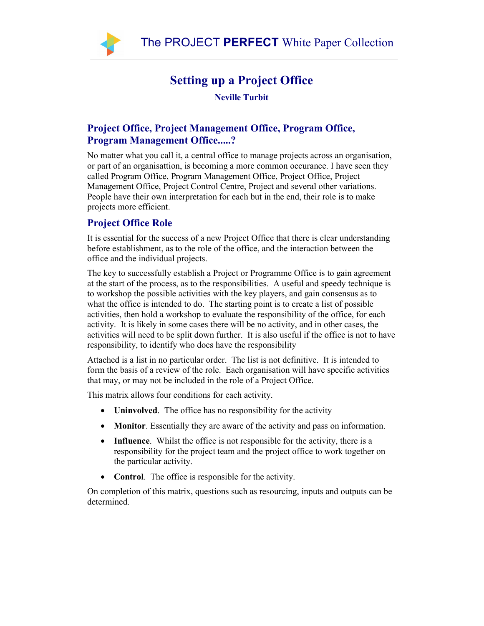

## Setting up a Project Office

Neville Turbit

## Project Office, Project Management Office, Program Office, Program Management Office.....?

No matter what you call it, a central office to manage projects across an organisation, or part of an organisattion, is becoming a more common occurance. I have seen they called Program Office, Program Management Office, Project Office, Project Management Office, Project Control Centre, Project and several other variations. People have their own interpretation for each but in the end, their role is to make projects more efficient.

## Project Office Role

It is essential for the success of a new Project Office that there is clear understanding before establishment, as to the role of the office, and the interaction between the office and the individual projects.

The key to successfully establish a Project or Programme Office is to gain agreement at the start of the process, as to the responsibilities. A useful and speedy technique is to workshop the possible activities with the key players, and gain consensus as to what the office is intended to do. The starting point is to create a list of possible activities, then hold a workshop to evaluate the responsibility of the office, for each activity. It is likely in some cases there will be no activity, and in other cases, the activities will need to be split down further. It is also useful if the office is not to have responsibility, to identify who does have the responsibility

Attached is a list in no particular order. The list is not definitive. It is intended to form the basis of a review of the role. Each organisation will have specific activities that may, or may not be included in the role of a Project Office.

This matrix allows four conditions for each activity.

- Uninvolved. The office has no responsibility for the activity
- **Monitor**. Essentially they are aware of the activity and pass on information.
- Influence. Whilst the office is not responsible for the activity, there is a responsibility for the project team and the project office to work together on the particular activity.
- Control. The office is responsible for the activity.

On completion of this matrix, questions such as resourcing, inputs and outputs can be determined.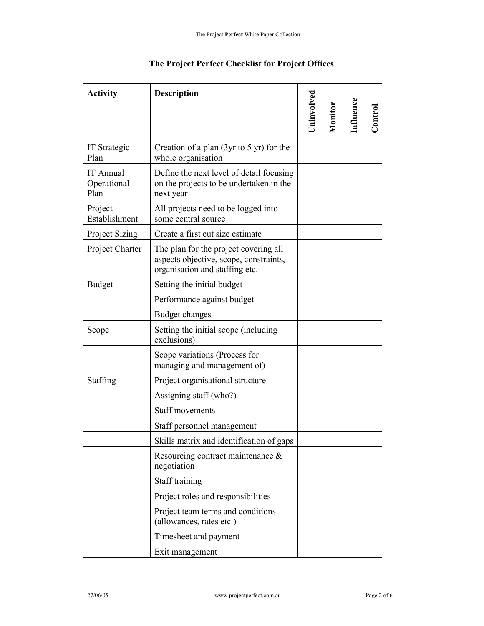| <b>Activity</b>                         | <b>Description</b>                                                                                                | Jninvolved | Monitor | <b>Influence</b> | $\rm {Control}$ |
|-----------------------------------------|-------------------------------------------------------------------------------------------------------------------|------------|---------|------------------|-----------------|
| <b>IT Strategic</b><br>Plan             | Creation of a plan $(3yr to 5 yr)$ for the<br>whole organisation                                                  |            |         |                  |                 |
| <b>IT</b> Annual<br>Operational<br>Plan | Define the next level of detail focusing<br>on the projects to be undertaken in the<br>next year                  |            |         |                  |                 |
| Project<br>Establishment                | All projects need to be logged into<br>some central source                                                        |            |         |                  |                 |
| <b>Project Sizing</b>                   | Create a first cut size estimate                                                                                  |            |         |                  |                 |
| Project Charter                         | The plan for the project covering all<br>aspects objective, scope, constraints,<br>organisation and staffing etc. |            |         |                  |                 |
| <b>Budget</b>                           | Setting the initial budget                                                                                        |            |         |                  |                 |
|                                         | Performance against budget                                                                                        |            |         |                  |                 |
|                                         | <b>Budget changes</b>                                                                                             |            |         |                  |                 |
| Scope                                   | Setting the initial scope (including<br>exclusions)                                                               |            |         |                  |                 |
|                                         | Scope variations (Process for<br>managing and management of)                                                      |            |         |                  |                 |
| Staffing                                | Project organisational structure                                                                                  |            |         |                  |                 |
|                                         | Assigning staff (who?)                                                                                            |            |         |                  |                 |
|                                         | <b>Staff movements</b>                                                                                            |            |         |                  |                 |
|                                         | Staff personnel management                                                                                        |            |         |                  |                 |
|                                         | Skills matrix and identification of gaps                                                                          |            |         |                  |                 |
|                                         | Resourcing contract maintenance $\&$<br>negotiation                                                               |            |         |                  |                 |
|                                         | Staff training                                                                                                    |            |         |                  |                 |
|                                         | Project roles and responsibilities                                                                                |            |         |                  |                 |
|                                         | Project team terms and conditions<br>(allowances, rates etc.)                                                     |            |         |                  |                 |
|                                         | Timesheet and payment                                                                                             |            |         |                  |                 |
|                                         | Exit management                                                                                                   |            |         |                  |                 |

## The Project Perfect Checklist for Project Offices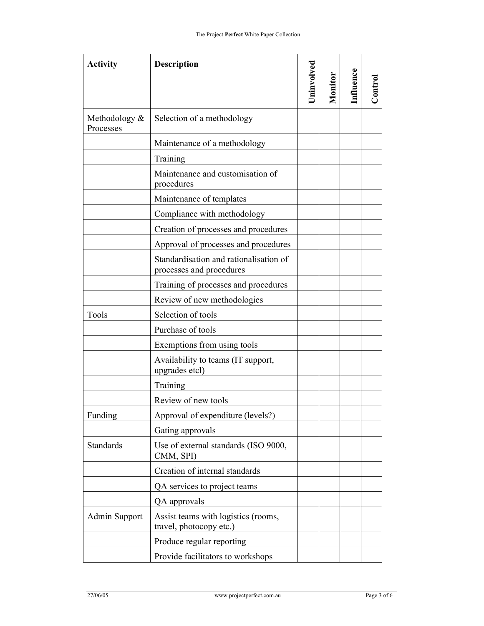| <b>Activity</b>            | Description                                                        | Jninvolved | Monitor | Influence | $\mathop{\mathsf{Control}}$ |
|----------------------------|--------------------------------------------------------------------|------------|---------|-----------|-----------------------------|
| Methodology &<br>Processes | Selection of a methodology                                         |            |         |           |                             |
|                            | Maintenance of a methodology                                       |            |         |           |                             |
|                            | Training                                                           |            |         |           |                             |
|                            | Maintenance and customisation of<br>procedures                     |            |         |           |                             |
|                            | Maintenance of templates                                           |            |         |           |                             |
|                            | Compliance with methodology                                        |            |         |           |                             |
|                            | Creation of processes and procedures                               |            |         |           |                             |
|                            | Approval of processes and procedures                               |            |         |           |                             |
|                            | Standardisation and rationalisation of<br>processes and procedures |            |         |           |                             |
|                            | Training of processes and procedures                               |            |         |           |                             |
|                            | Review of new methodologies                                        |            |         |           |                             |
| Tools                      | Selection of tools                                                 |            |         |           |                             |
|                            | Purchase of tools                                                  |            |         |           |                             |
|                            | Exemptions from using tools                                        |            |         |           |                             |
|                            | Availability to teams (IT support,<br>upgrades etcl)               |            |         |           |                             |
|                            | Training                                                           |            |         |           |                             |
|                            | Review of new tools                                                |            |         |           |                             |
| Funding                    | Approval of expenditure (levels?)                                  |            |         |           |                             |
|                            | Gating approvals                                                   |            |         |           |                             |
| Standards                  | Use of external standards (ISO 9000,<br>CMM, SPI)                  |            |         |           |                             |
|                            | Creation of internal standards                                     |            |         |           |                             |
|                            | QA services to project teams                                       |            |         |           |                             |
|                            | QA approvals                                                       |            |         |           |                             |
| Admin Support              | Assist teams with logistics (rooms,<br>travel, photocopy etc.)     |            |         |           |                             |
|                            | Produce regular reporting                                          |            |         |           |                             |
|                            | Provide facilitators to workshops                                  |            |         |           |                             |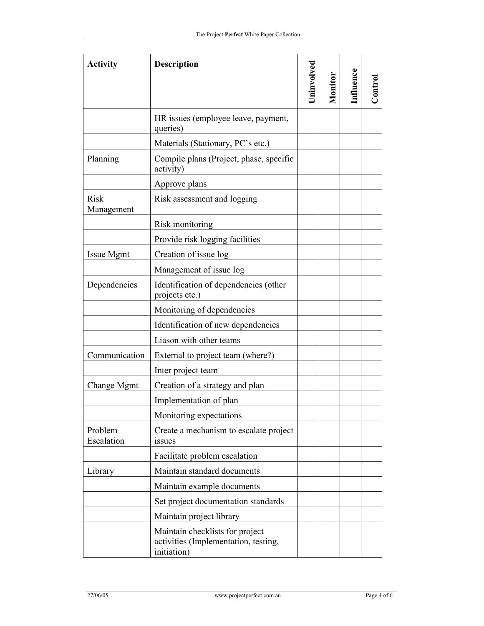| <b>Activity</b>           | <b>Description</b>                                                                     | Uninvolved | Monitor | <b>Influence</b> | Control |
|---------------------------|----------------------------------------------------------------------------------------|------------|---------|------------------|---------|
|                           | HR issues (employee leave, payment,<br>queries)                                        |            |         |                  |         |
|                           | Materials (Stationary, PC's etc.)                                                      |            |         |                  |         |
| Planning                  | Compile plans (Project, phase, specific<br>activity)                                   |            |         |                  |         |
|                           | Approve plans                                                                          |            |         |                  |         |
| <b>Risk</b><br>Management | Risk assessment and logging                                                            |            |         |                  |         |
|                           | Risk monitoring                                                                        |            |         |                  |         |
|                           | Provide risk logging facilities                                                        |            |         |                  |         |
| Issue Mgmt                | Creation of issue log                                                                  |            |         |                  |         |
|                           | Management of issue log                                                                |            |         |                  |         |
| Dependencies              | Identification of dependencies (other<br>projects etc.)                                |            |         |                  |         |
|                           | Monitoring of dependencies                                                             |            |         |                  |         |
|                           | Identification of new dependencies                                                     |            |         |                  |         |
|                           | Liason with other teams                                                                |            |         |                  |         |
| Communication             | External to project team (where?)                                                      |            |         |                  |         |
|                           | Inter project team                                                                     |            |         |                  |         |
| Change Mgmt               | Creation of a strategy and plan                                                        |            |         |                  |         |
|                           | Implementation of plan                                                                 |            |         |                  |         |
|                           | Monitoring expectations                                                                |            |         |                  |         |
| Problem<br>Escalation     | Create a mechanism to escalate project<br>issues                                       |            |         |                  |         |
|                           | Facilitate problem escalation                                                          |            |         |                  |         |
| Library                   | Maintain standard documents                                                            |            |         |                  |         |
|                           | Maintain example documents                                                             |            |         |                  |         |
|                           | Set project documentation standards                                                    |            |         |                  |         |
|                           | Maintain project library                                                               |            |         |                  |         |
|                           | Maintain checklists for project<br>activities (Implementation, testing,<br>initiation) |            |         |                  |         |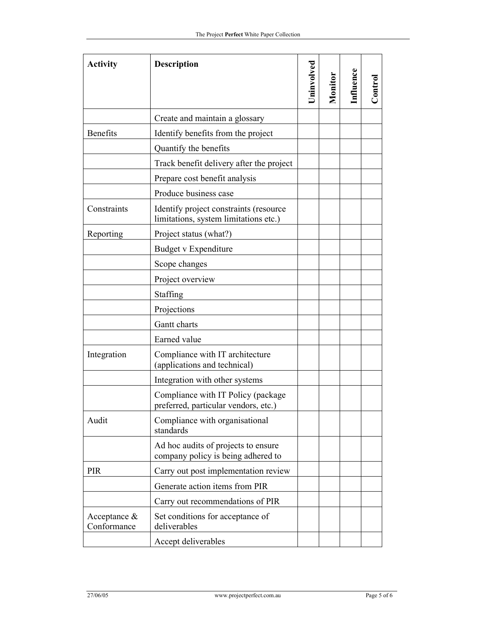| <b>Activity</b>                | <b>Description</b>                                                              | Uninvolved | Monitor | Influence | Control |
|--------------------------------|---------------------------------------------------------------------------------|------------|---------|-----------|---------|
|                                | Create and maintain a glossary                                                  |            |         |           |         |
| <b>Benefits</b>                | Identify benefits from the project                                              |            |         |           |         |
|                                | Quantify the benefits                                                           |            |         |           |         |
|                                | Track benefit delivery after the project                                        |            |         |           |         |
|                                | Prepare cost benefit analysis                                                   |            |         |           |         |
|                                | Produce business case                                                           |            |         |           |         |
| Constraints                    | Identify project constraints (resource<br>limitations, system limitations etc.) |            |         |           |         |
| Reporting                      | Project status (what?)                                                          |            |         |           |         |
|                                | Budget v Expenditure                                                            |            |         |           |         |
|                                | Scope changes                                                                   |            |         |           |         |
|                                | Project overview                                                                |            |         |           |         |
|                                | Staffing                                                                        |            |         |           |         |
|                                | Projections                                                                     |            |         |           |         |
|                                | Gantt charts                                                                    |            |         |           |         |
|                                | Earned value                                                                    |            |         |           |         |
| Integration                    | Compliance with IT architecture<br>(applications and technical)                 |            |         |           |         |
|                                | Integration with other systems                                                  |            |         |           |         |
|                                | Compliance with IT Policy (package<br>preferred, particular vendors, etc.)      |            |         |           |         |
| Audit                          | Compliance with organisational<br>standards                                     |            |         |           |         |
|                                | Ad hoc audits of projects to ensure<br>company policy is being adhered to       |            |         |           |         |
| <b>PIR</b>                     | Carry out post implementation review                                            |            |         |           |         |
|                                | Generate action items from PIR                                                  |            |         |           |         |
|                                | Carry out recommendations of PIR                                                |            |         |           |         |
| Acceptance $\&$<br>Conformance | Set conditions for acceptance of<br>deliverables                                |            |         |           |         |
|                                | Accept deliverables                                                             |            |         |           |         |